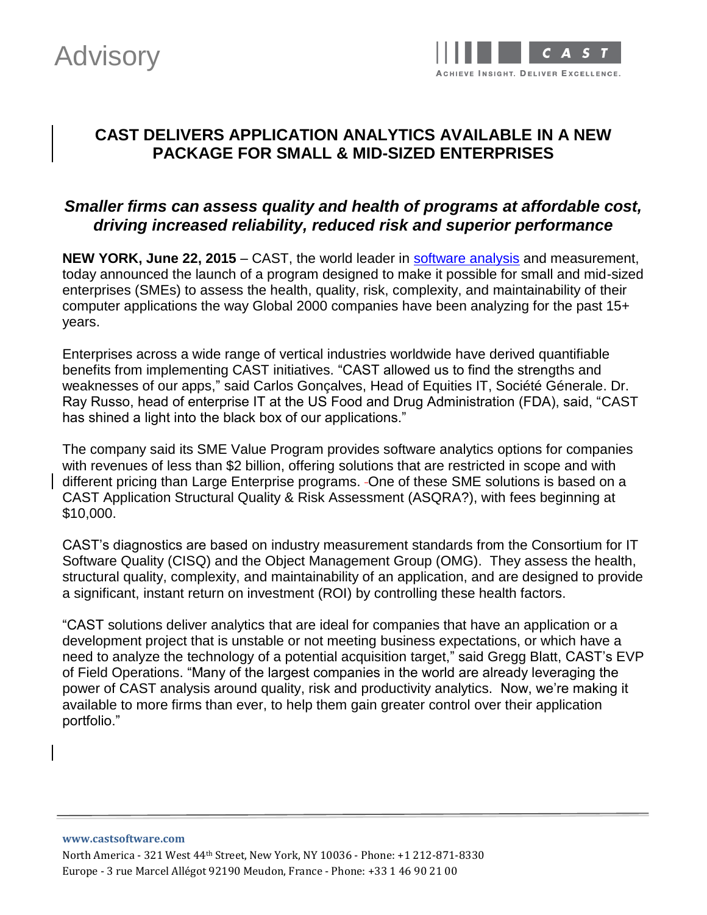



## **CAST DELIVERS APPLICATION ANALYTICS AVAILABLE IN A NEW PACKAGE FOR SMALL & MID-SIZED ENTERPRISES**

## *Smaller firms can assess quality and health of programs at affordable cost, driving increased reliability, reduced risk and superior performance*

**NEW YORK, June 22, 2015** – CAST, the world leader in [software analysis](http://www.castsoftware.com/glossary/code-analysis) and measurement, today announced the launch of a program designed to make it possible for small and mid-sized enterprises (SMEs) to assess the health, quality, risk, complexity, and maintainability of their computer applications the way Global 2000 companies have been analyzing for the past 15+ years.

Enterprises across a wide range of vertical industries worldwide have derived quantifiable benefits from implementing CAST initiatives. "CAST allowed us to find the strengths and weaknesses of our apps," said Carlos Gonçalves, Head of Equities IT, Société Génerale. Dr. Ray Russo, head of enterprise IT at the US Food and Drug Administration (FDA), said, "CAST has shined a light into the black box of our applications."

The company said its SME Value Program provides software analytics options for companies with revenues of less than \$2 billion, offering solutions that are restricted in scope and with different pricing than Large Enterprise programs. - One of these SME solutions is based on a CAST Application Structural Quality & Risk Assessment (ASQRA?), with fees beginning at \$10,000.

CAST's diagnostics are based on industry measurement standards from the Consortium for IT Software Quality (CISQ) and the Object Management Group (OMG). They assess the health, structural quality, complexity, and maintainability of an application, and are designed to provide a significant, instant return on investment (ROI) by controlling these health factors.

"CAST solutions deliver analytics that are ideal for companies that have an application or a development project that is unstable or not meeting business expectations, or which have a need to analyze the technology of a potential acquisition target," said Gregg Blatt, CAST's EVP of Field Operations. "Many of the largest companies in the world are already leveraging the power of CAST analysis around quality, risk and productivity analytics. Now, we're making it available to more firms than ever, to help them gain greater control over their application portfolio."

**www.castsoftware.com** North America - 321 West 44th Street, New York, NY 10036 - Phone: +1 212-871-8330 Europe - 3 rue Marcel Allégot 92190 Meudon, France - Phone: +33 1 46 90 21 00